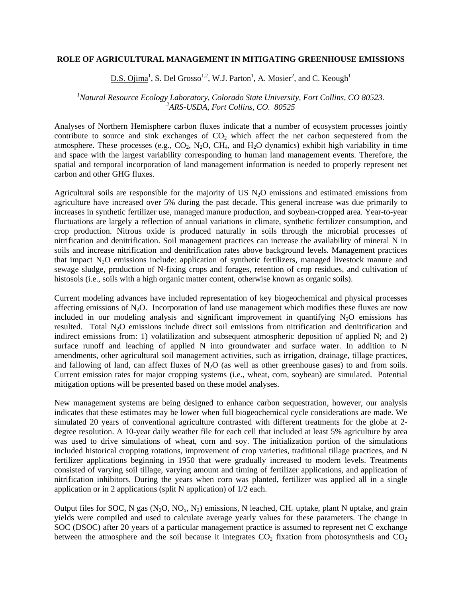## **ROLE OF AGRICULTURAL MANAGEMENT IN MITIGATING GREENHOUSE EMISSIONS**

 $D.S. Ojima<sup>1</sup>, S. Del Grosso<sup>1,2</sup>, W.J. Parton<sup>1</sup>, A. Mosier<sup>2</sup>, and C. Keough<sup>1</sup>$ 

## *1 Natural Resource Ecology Laboratory, Colorado State University, Fort Collins, CO 80523. 2 ARS-USDA, Fort Collins, CO. 80525*

Analyses of Northern Hemisphere carbon fluxes indicate that a number of ecosystem processes jointly contribute to source and sink exchanges of  $CO<sub>2</sub>$  which affect the net carbon sequestered from the atmosphere. These processes (e.g.,  $CO_2$ ,  $N_2O$ ,  $CH_4$ , and  $H_2O$  dynamics) exhibit high variability in time and space with the largest variability corresponding to human land management events. Therefore, the spatial and temporal incorporation of land management information is needed to properly represent net carbon and other GHG fluxes.

Agricultural soils are responsible for the majority of US  $N<sub>2</sub>O$  emissions and estimated emissions from agriculture have increased over 5% during the past decade. This general increase was due primarily to increases in synthetic fertilizer use, managed manure production, and soybean-cropped area. Year-to-year fluctuations are largely a reflection of annual variations in climate, synthetic fertilizer consumption, and crop production. Nitrous oxide is produced naturally in soils through the microbial processes of nitrification and denitrification. Soil management practices can increase the availability of mineral N in soils and increase nitrification and denitrification rates above background levels. Management practices that impact N2O emissions include: application of synthetic fertilizers, managed livestock manure and sewage sludge, production of N-fixing crops and forages, retention of crop residues, and cultivation of histosols (i.e., soils with a high organic matter content, otherwise known as organic soils).

Current modeling advances have included representation of key biogeochemical and physical processes affecting emissions of  $N_2O$ . Incorporation of land use management which modifies these fluxes are now included in our modeling analysis and significant improvement in quantifying  $N<sub>2</sub>O$  emissions has resulted. Total N<sub>2</sub>O emissions include direct soil emissions from nitrification and denitrification and indirect emissions from: 1) volatilization and subsequent atmospheric deposition of applied N; and 2) surface runoff and leaching of applied N into groundwater and surface water. In addition to N amendments, other agricultural soil management activities, such as irrigation, drainage, tillage practices, and fallowing of land, can affect fluxes of  $N<sub>2</sub>O$  (as well as other greenhouse gases) to and from soils. Current emission rates for major cropping systems (i.e., wheat, corn, soybean) are simulated. Potential mitigation options will be presented based on these model analyses.

New management systems are being designed to enhance carbon sequestration, however, our analysis indicates that these estimates may be lower when full biogeochemical cycle considerations are made. We simulated 20 years of conventional agriculture contrasted with different treatments for the globe at 2 degree resolution. A 10-year daily weather file for each cell that included at least 5% agriculture by area was used to drive simulations of wheat, corn and soy. The initialization portion of the simulations included historical cropping rotations, improvement of crop varieties, traditional tillage practices, and N fertilizer applications beginning in 1950 that were gradually increased to modern levels. Treatments consisted of varying soil tillage, varying amount and timing of fertilizer applications, and application of nitrification inhibitors. During the years when corn was planted, fertilizer was applied all in a single application or in 2 applications (split N application) of 1/2 each.

Output files for SOC, N gas  $(N_2O, NO_x, N_2)$  emissions, N leached, CH<sub>4</sub> uptake, plant N uptake, and grain yields were compiled and used to calculate average yearly values for these parameters. The change in SOC (DSOC) after 20 years of a particular management practice is assumed to represent net C exchange between the atmosphere and the soil because it integrates  $CO<sub>2</sub>$  fixation from photosynthesis and  $CO<sub>2</sub>$